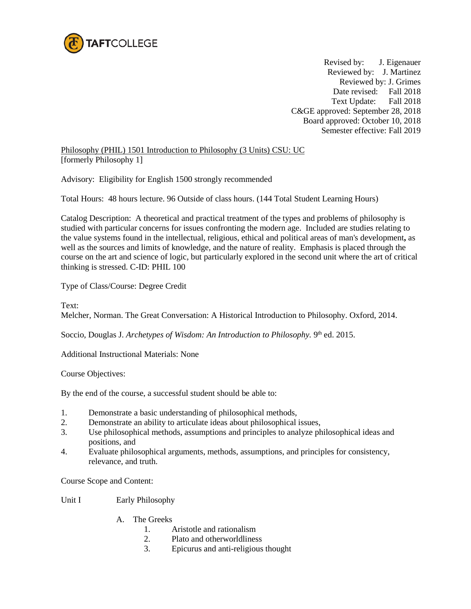

Revised by: J. Eigenauer Reviewed by: J. Martinez Reviewed by: J. Grimes Date revised: Fall 2018 Text Update: Fall 2018 C&GE approved: September 28, 2018 Board approved: October 10, 2018 Semester effective: Fall 2019

Philosophy (PHIL) 1501 Introduction to Philosophy (3 Units) CSU: UC [formerly Philosophy 1]

Advisory: Eligibility for English 1500 strongly recommended

Total Hours: 48 hours lecture. 96 Outside of class hours. (144 Total Student Learning Hours)

Catalog Description: A theoretical and practical treatment of the types and problems of philosophy is studied with particular concerns for issues confronting the modern age. Included are studies relating to the value systems found in the intellectual, religious, ethical and political areas of man's development**,** as well as the sources and limits of knowledge, and the nature of reality. Emphasis is placed through the course on the art and science of logic, but particularly explored in the second unit where the art of critical thinking is stressed. C-ID: PHIL 100

Type of Class/Course: Degree Credit

Text:

Melcher, Norman. The Great Conversation: A Historical Introduction to Philosophy. Oxford, 2014.

Soccio, Douglas J. *Archetypes of Wisdom: An Introduction to Philosophy.* 9<sup>th</sup> ed. 2015.

Additional Instructional Materials: None

Course Objectives:

By the end of the course, a successful student should be able to:

- 1. Demonstrate a basic understanding of philosophical methods,
- 2. Demonstrate an ability to articulate ideas about philosophical issues,
- 3. Use philosophical methods, assumptions and principles to analyze philosophical ideas and positions, and
- 4. Evaluate philosophical arguments, methods, assumptions, and principles for consistency, relevance, and truth.

Course Scope and Content:

Unit I Early Philosophy

- A. The Greeks
	- 1. Aristotle and rationalism
	- 2. Plato and otherworldliness
	- 3. Epicurus and anti-religious thought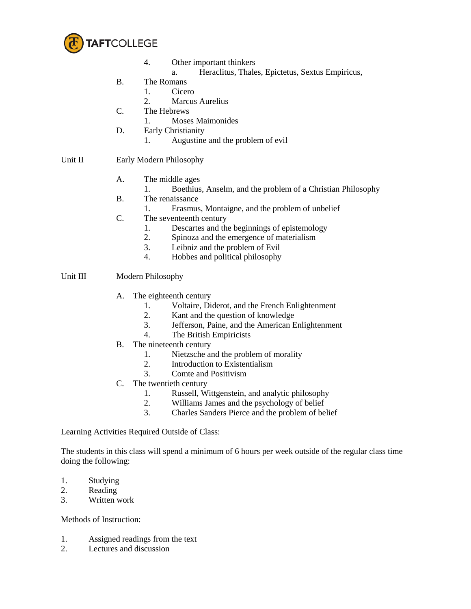

- 4. Other important thinkers
	- a. Heraclitus, Thales, Epictetus, Sextus Empiricus,
- B. The Romans
	- 1. Cicero
	- 2. Marcus Aurelius
- C. The Hebrews
	- 1. Moses Maimonides
- D. Early Christianity
	- 1. Augustine and the problem of evil

## Unit II Early Modern Philosophy

- A. The middle ages
	- 1. Boethius, Anselm, and the problem of a Christian Philosophy
- B. The renaissance
	- 1. Erasmus, Montaigne, and the problem of unbelief
- C. The seventeenth century
	- 1. Descartes and the beginnings of epistemology
	- 2. Spinoza and the emergence of materialism
	- 3. Leibniz and the problem of Evil
	- 4. Hobbes and political philosophy

## Unit III Modern Philosophy

- A. The eighteenth century
	- 1. Voltaire, Diderot, and the French Enlightenment
	- 2. Kant and the question of knowledge
	- 3. Jefferson, Paine, and the American Enlightenment
	- 4. The British Empiricists
- B. The nineteenth century
	- 1. Nietzsche and the problem of morality
	- 2. Introduction to Existentialism
	- 3. Comte and Positivism
- C. The twentieth century
	- 1. Russell, Wittgenstein, and analytic philosophy<br>
	2 Williams James and the nsychology of belief
	- Williams James and the psychology of belief
	- 3. Charles Sanders Pierce and the problem of belief

Learning Activities Required Outside of Class:

The students in this class will spend a minimum of 6 hours per week outside of the regular class time doing the following:

- 1. Studying
- 2. Reading
- 3. Written work

Methods of Instruction:

- 1. Assigned readings from the text
- 2. Lectures and discussion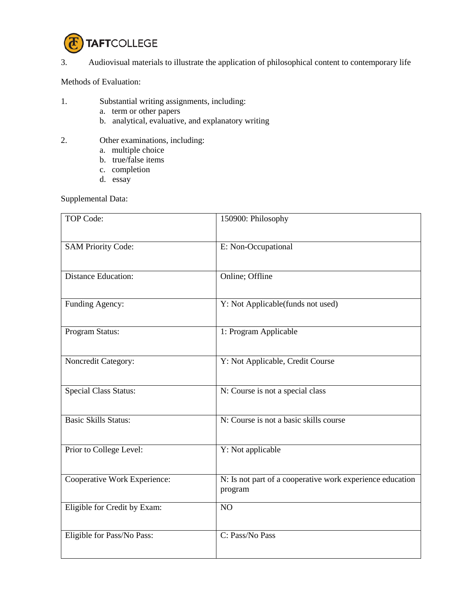

## 3. Audiovisual materials to illustrate the application of philosophical content to contemporary life

Methods of Evaluation:

- 1. Substantial writing assignments, including:
	- a. term or other papers
	- b. analytical, evaluative, and explanatory writing
- 2. Other examinations, including:
	- a. multiple choice
	- b. true/false items
	- c. completion
	- d. essay

Supplemental Data:

| TOP Code:                    | 150900: Philosophy                                                   |
|------------------------------|----------------------------------------------------------------------|
| <b>SAM Priority Code:</b>    | E: Non-Occupational                                                  |
| <b>Distance Education:</b>   | Online; Offline                                                      |
| Funding Agency:              | Y: Not Applicable(funds not used)                                    |
| Program Status:              | 1: Program Applicable                                                |
| Noncredit Category:          | Y: Not Applicable, Credit Course                                     |
| <b>Special Class Status:</b> | N: Course is not a special class                                     |
| <b>Basic Skills Status:</b>  | N: Course is not a basic skills course                               |
| Prior to College Level:      | Y: Not applicable                                                    |
| Cooperative Work Experience: | N: Is not part of a cooperative work experience education<br>program |
| Eligible for Credit by Exam: | NO                                                                   |
| Eligible for Pass/No Pass:   | C: Pass/No Pass                                                      |